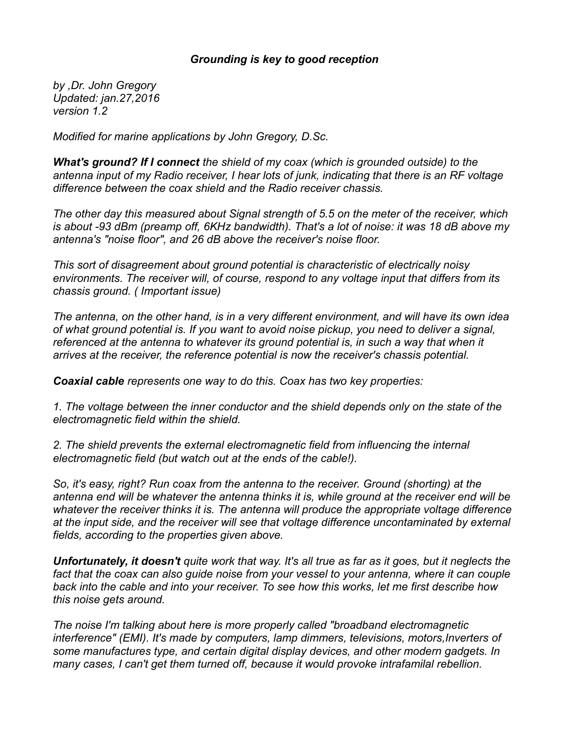## *Grounding is key to good reception*

*by ,Dr. John Gregory Updated: jan.27,2016 version 1.2*

*Modified for marine applications by John Gregory, D.Sc.*

*What's ground? If I connect the shield of my coax (which is grounded outside) to the antenna input of my Radio receiver, I hear lots of junk, indicating that there is an RF voltage difference between the coax shield and the Radio receiver chassis.*

*The other day this measured about Signal strength of 5.5 on the meter of the receiver, which is about -93 dBm (preamp off, 6KHz bandwidth). That's a lot of noise: it was 18 dB above my antenna's "noise floor", and 26 dB above the receiver's noise floor.*

*This sort of disagreement about ground potential is characteristic of electrically noisy environments. The receiver will, of course, respond to any voltage input that differs from its chassis ground. ( Important issue)*

*The antenna, on the other hand, is in a very different environment, and will have its own idea of what ground potential is. If you want to avoid noise pickup, you need to deliver a signal, referenced at the antenna to whatever its ground potential is, in such a way that when it arrives at the receiver, the reference potential is now the receiver's chassis potential.*

*Coaxial cable represents one way to do this. Coax has two key properties:*

*1. The voltage between the inner conductor and the shield depends only on the state of the electromagnetic field within the shield.*

*2. The shield prevents the external electromagnetic field from influencing the internal electromagnetic field (but watch out at the ends of the cable!).*

*So, it's easy, right? Run coax from the antenna to the receiver. Ground (shorting) at the antenna end will be whatever the antenna thinks it is, while ground at the receiver end will be whatever the receiver thinks it is. The antenna will produce the appropriate voltage difference at the input side, and the receiver will see that voltage difference uncontaminated by external fields, according to the properties given above.*

*Unfortunately, it doesn't quite work that way. It's all true as far as it goes, but it neglects the* fact that the coax can also guide noise from your vessel to your antenna, where it can couple *back into the cable and into your receiver. To see how this works, let me first describe how this noise gets around.*

*The noise I'm talking about here is more properly called "broadband electromagnetic interference" (EMI). It's made by computers, lamp dimmers, televisions, motors,Inverters of some manufactures type, and certain digital display devices, and other modern gadgets. In many cases, I can't get them turned off, because it would provoke intrafamilal rebellion.*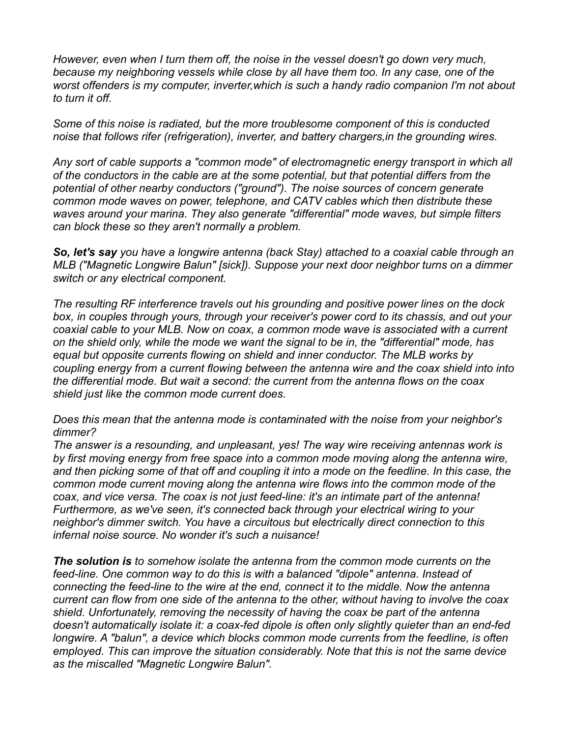*However, even when I turn them off, the noise in the vessel doesn't go down very much, because my neighboring vessels while close by all have them too. In any case, one of the worst offenders is my computer, inverter,which is such a handy radio companion I'm not about to turn it off.*

*Some of this noise is radiated, but the more troublesome component of this is conducted noise that follows rifer (refrigeration), inverter, and battery chargers,in the grounding wires.*

*Any sort of cable supports a "common mode" of electromagnetic energy transport in which all of the conductors in the cable are at the some potential, but that potential differs from the potential of other nearby conductors ("ground"). The noise sources of concern generate common mode waves on power, telephone, and CATV cables which then distribute these waves around your marina. They also generate "differential" mode waves, but simple filters can block these so they aren't normally a problem.*

*So, let's say you have a longwire antenna (back Stay) attached to a coaxial cable through an MLB ("Magnetic Longwire Balun" [sick]). Suppose your next door neighbor turns on a dimmer switch or any electrical component.*

*The resulting RF interference travels out his grounding and positive power lines on the dock box, in couples through yours, through your receiver's power cord to its chassis, and out your coaxial cable to your MLB. Now on coax, a common mode wave is associated with a current on the shield only, while the mode we want the signal to be in, the "differential" mode, has equal but opposite currents flowing on shield and inner conductor. The MLB works by coupling energy from a current flowing between the antenna wire and the coax shield into into the differential mode. But wait a second: the current from the antenna flows on the coax shield just like the common mode current does.*

*Does this mean that the antenna mode is contaminated with the noise from your neighbor's dimmer?*

*The answer is a resounding, and unpleasant, yes! The way wire receiving antennas work is by first moving energy from free space into a common mode moving along the antenna wire, and then picking some of that off and coupling it into a mode on the feedline. In this case, the common mode current moving along the antenna wire flows into the common mode of the coax, and vice versa. The coax is not just feed-line: it's an intimate part of the antenna! Furthermore, as we've seen, it's connected back through your electrical wiring to your neighbor's dimmer switch. You have a circuitous but electrically direct connection to this infernal noise source. No wonder it's such a nuisance!*

*The solution is to somehow isolate the antenna from the common mode currents on the feed-line. One common way to do this is with a balanced "dipole" antenna. Instead of connecting the feed-line to the wire at the end, connect it to the middle. Now the antenna current can flow from one side of the antenna to the other, without having to involve the coax shield. Unfortunately, removing the necessity of having the coax be part of the antenna doesn't automatically isolate it: a coax-fed dipole is often only slightly quieter than an end-fed longwire. A "balun", a device which blocks common mode currents from the feedline, is often employed. This can improve the situation considerably. Note that this is not the same device as the miscalled "Magnetic Longwire Balun".*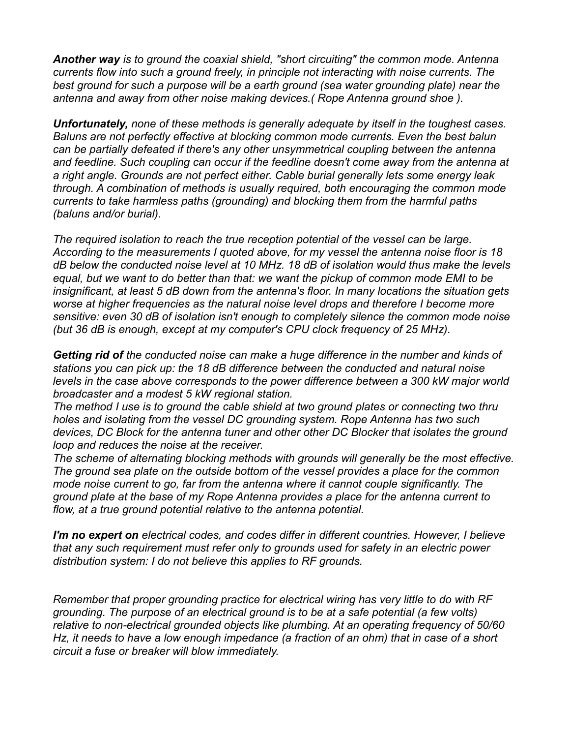*Another way is to ground the coaxial shield, "short circuiting" the common mode. Antenna currents flow into such a ground freely, in principle not interacting with noise currents. The best ground for such a purpose will be a earth ground (sea water grounding plate) near the antenna and away from other noise making devices.( Rope Antenna ground shoe ).*

*Unfortunately, none of these methods is generally adequate by itself in the toughest cases. Baluns are not perfectly effective at blocking common mode currents. Even the best balun can be partially defeated if there's any other unsymmetrical coupling between the antenna and feedline. Such coupling can occur if the feedline doesn't come away from the antenna at a right angle. Grounds are not perfect either. Cable burial generally lets some energy leak through. A combination of methods is usually required, both encouraging the common mode currents to take harmless paths (grounding) and blocking them from the harmful paths (baluns and/or burial).*

*The required isolation to reach the true reception potential of the vessel can be large. According to the measurements I quoted above, for my vessel the antenna noise floor is 18 dB below the conducted noise level at 10 MHz. 18 dB of isolation would thus make the levels equal, but we want to do better than that: we want the pickup of common mode EMI to be insignificant, at least 5 dB down from the antenna's floor. In many locations the situation gets worse at higher frequencies as the natural noise level drops and therefore I become more sensitive: even 30 dB of isolation isn't enough to completely silence the common mode noise (but 36 dB is enough, except at my computer's CPU clock frequency of 25 MHz).*

*Getting rid of the conducted noise can make a huge difference in the number and kinds of stations you can pick up: the 18 dB difference between the conducted and natural noise levels in the case above corresponds to the power difference between a 300 kW major world broadcaster and a modest 5 kW regional station.*

*The method I use is to ground the cable shield at two ground plates or connecting two thru holes and isolating from the vessel DC grounding system. Rope Antenna has two such devices, DC Block for the antenna tuner and other other DC Blocker that isolates the ground loop and reduces the noise at the receiver.*

*The scheme of alternating blocking methods with grounds will generally be the most effective. The ground sea plate on the outside bottom of the vessel provides a place for the common mode noise current to go, far from the antenna where it cannot couple significantly. The ground plate at the base of my Rope Antenna provides a place for the antenna current to flow, at a true ground potential relative to the antenna potential.*

*I'm no expert on electrical codes, and codes differ in different countries. However, I believe that any such requirement must refer only to grounds used for safety in an electric power distribution system: I do not believe this applies to RF grounds.*

*Remember that proper grounding practice for electrical wiring has very little to do with RF grounding. The purpose of an electrical ground is to be at a safe potential (a few volts) relative to non-electrical grounded objects like plumbing. At an operating frequency of 50/60 Hz, it needs to have a low enough impedance (a fraction of an ohm) that in case of a short circuit a fuse or breaker will blow immediately.*